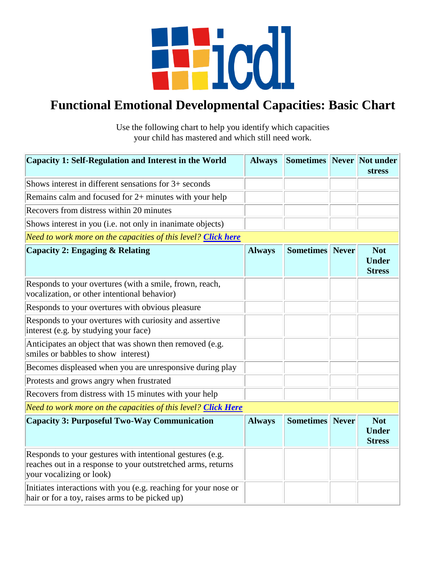

## **Functional Emotional Developmental Capacities: Basic Chart**

Use the following chart to help you identify which capacities your child has mastered and which still need work.

| Capacity 1: Self-Regulation and Interest in the World                                                                                                 | <b>Always</b> | <b>Sometimes Never Not under</b> |              | <b>stress</b>                               |
|-------------------------------------------------------------------------------------------------------------------------------------------------------|---------------|----------------------------------|--------------|---------------------------------------------|
| Shows interest in different sensations for 3+ seconds                                                                                                 |               |                                  |              |                                             |
| Remains calm and focused for $2+$ minutes with your help                                                                                              |               |                                  |              |                                             |
| Recovers from distress within 20 minutes                                                                                                              |               |                                  |              |                                             |
| Shows interest in you (i.e. not only in inanimate objects)                                                                                            |               |                                  |              |                                             |
| Need to work more on the capacities of this level? Click here                                                                                         |               |                                  |              |                                             |
| <b>Capacity 2: Engaging &amp; Relating</b>                                                                                                            | <b>Always</b> | <b>Sometimes</b>                 | <b>Never</b> | <b>Not</b><br><b>Under</b><br><b>Stress</b> |
| Responds to your overtures (with a smile, frown, reach,<br>vocalization, or other intentional behavior)                                               |               |                                  |              |                                             |
| Responds to your overtures with obvious pleasure                                                                                                      |               |                                  |              |                                             |
| Responds to your overtures with curiosity and assertive<br>interest (e.g. by studying your face)                                                      |               |                                  |              |                                             |
| Anticipates an object that was shown then removed (e.g.<br>smiles or babbles to show interest)                                                        |               |                                  |              |                                             |
| Becomes displeased when you are unresponsive during play                                                                                              |               |                                  |              |                                             |
| Protests and grows angry when frustrated                                                                                                              |               |                                  |              |                                             |
| Recovers from distress with 15 minutes with your help                                                                                                 |               |                                  |              |                                             |
| Need to work more on the capacities of this level? Click Here                                                                                         |               |                                  |              |                                             |
| <b>Capacity 3: Purposeful Two-Way Communication</b>                                                                                                   | <b>Always</b> | <b>Sometimes</b> Never           |              | <b>Not</b><br><b>Under</b><br><b>Stress</b> |
| Responds to your gestures with intentional gestures (e.g.<br>reaches out in a response to your outstretched arms, returns<br>your vocalizing or look) |               |                                  |              |                                             |
| Initiates interactions with you (e.g. reaching for your nose or<br>hair or for a toy, raises arms to be picked up)                                    |               |                                  |              |                                             |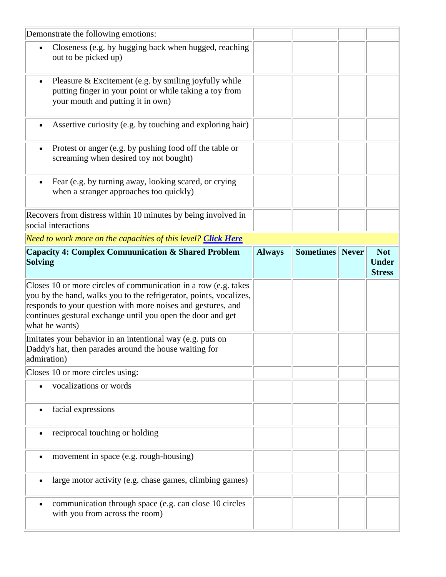| Demonstrate the following emotions:                                                                                                                                                                                                                                                    |               |                        |                                             |
|----------------------------------------------------------------------------------------------------------------------------------------------------------------------------------------------------------------------------------------------------------------------------------------|---------------|------------------------|---------------------------------------------|
| Closeness (e.g. by hugging back when hugged, reaching<br>$\bullet$<br>out to be picked up)                                                                                                                                                                                             |               |                        |                                             |
| Pleasure & Excitement (e.g. by smiling joyfully while<br>$\bullet$<br>putting finger in your point or while taking a toy from<br>your mouth and putting it in own)                                                                                                                     |               |                        |                                             |
| Assertive curiosity (e.g. by touching and exploring hair)<br>$\bullet$                                                                                                                                                                                                                 |               |                        |                                             |
| Protest or anger (e.g. by pushing food off the table or<br>$\bullet$<br>screaming when desired toy not bought)                                                                                                                                                                         |               |                        |                                             |
| Fear (e.g. by turning away, looking scared, or crying<br>$\bullet$<br>when a stranger approaches too quickly)                                                                                                                                                                          |               |                        |                                             |
| Recovers from distress within 10 minutes by being involved in<br>social interactions                                                                                                                                                                                                   |               |                        |                                             |
| Need to work more on the capacities of this level? Click Here                                                                                                                                                                                                                          |               |                        |                                             |
| <b>Capacity 4: Complex Communication &amp; Shared Problem</b><br><b>Solving</b>                                                                                                                                                                                                        | <b>Always</b> | <b>Sometimes</b> Never | <b>Not</b><br><b>Under</b><br><b>Stress</b> |
| Closes 10 or more circles of communication in a row (e.g. takes<br>you by the hand, walks you to the refrigerator, points, vocalizes,<br>responds to your question with more noises and gestures, and<br>continues gestural exchange until you open the door and get<br>what he wants) |               |                        |                                             |
| Imitates your behavior in an intentional way (e.g. puts on<br>Daddy's hat, then parades around the house waiting for<br>admiration)                                                                                                                                                    |               |                        |                                             |
|                                                                                                                                                                                                                                                                                        |               |                        |                                             |
| Closes 10 or more circles using:                                                                                                                                                                                                                                                       |               |                        |                                             |
| vocalizations or words                                                                                                                                                                                                                                                                 |               |                        |                                             |
| facial expressions                                                                                                                                                                                                                                                                     |               |                        |                                             |
| reciprocal touching or holding                                                                                                                                                                                                                                                         |               |                        |                                             |
| movement in space (e.g. rough-housing)                                                                                                                                                                                                                                                 |               |                        |                                             |
| large motor activity (e.g. chase games, climbing games)                                                                                                                                                                                                                                |               |                        |                                             |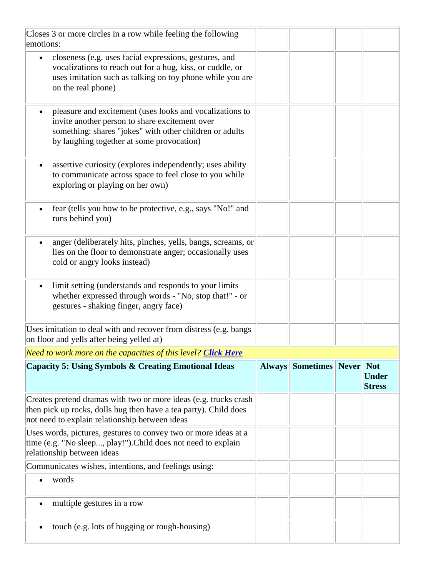| Closes 3 or more circles in a row while feeling the following<br>emotions:                                                                                                                                                      |                               |                                             |
|---------------------------------------------------------------------------------------------------------------------------------------------------------------------------------------------------------------------------------|-------------------------------|---------------------------------------------|
| closeness (e.g. uses facial expressions, gestures, and<br>$\bullet$<br>vocalizations to reach out for a hug, kiss, or cuddle, or<br>uses imitation such as talking on toy phone while you are<br>on the real phone)             |                               |                                             |
| pleasure and excitement (uses looks and vocalizations to<br>$\bullet$<br>invite another person to share excitement over<br>something: shares "jokes" with other children or adults<br>by laughing together at some provocation) |                               |                                             |
| assertive curiosity (explores independently; uses ability<br>$\bullet$<br>to communicate across space to feel close to you while<br>exploring or playing on her own)                                                            |                               |                                             |
| fear (tells you how to be protective, e.g., says "No!" and<br>$\bullet$<br>runs behind you)                                                                                                                                     |                               |                                             |
| anger (deliberately hits, pinches, yells, bangs, screams, or<br>$\bullet$<br>lies on the floor to demonstrate anger; occasionally uses<br>cold or angry looks instead)                                                          |                               |                                             |
| limit setting (understands and responds to your limits)<br>$\bullet$<br>whether expressed through words - "No, stop that!" - or<br>gestures - shaking finger, angry face)                                                       |                               |                                             |
| Uses imitation to deal with and recover from distress (e.g. bangs)<br>on floor and yells after being yelled at)                                                                                                                 |                               |                                             |
| Need to work more on the capacities of this level? Click Here                                                                                                                                                                   |                               |                                             |
| <b>Capacity 5: Using Symbols &amp; Creating Emotional Ideas</b>                                                                                                                                                                 | <b>Always Sometimes Never</b> | <b>Not</b><br><b>Under</b><br><b>Stress</b> |
| Creates pretend dramas with two or more ideas (e.g. trucks crash)<br>then pick up rocks, dolls hug then have a tea party). Child does<br>not need to explain relationship between ideas                                         |                               |                                             |
| Uses words, pictures, gestures to convey two or more ideas at a<br>time (e.g. "No sleep, play!"). Child does not need to explain<br>relationship between ideas                                                                  |                               |                                             |
| Communicates wishes, intentions, and feelings using:                                                                                                                                                                            |                               |                                             |
| words                                                                                                                                                                                                                           |                               |                                             |
| multiple gestures in a row<br>$\bullet$                                                                                                                                                                                         |                               |                                             |
| touch (e.g. lots of hugging or rough-housing)                                                                                                                                                                                   |                               |                                             |